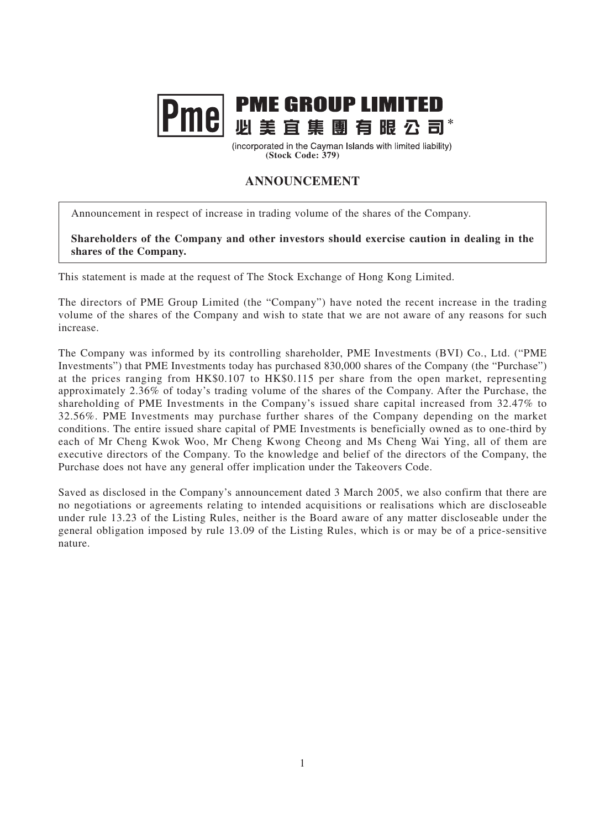

(incorporated in the Cayman Islands with limited liability) **(Stock Code: 379)**

## **ANNOUNCEMENT**

Announcement in respect of increase in trading volume of the shares of the Company.

**Shareholders of the Company and other investors should exercise caution in dealing in the shares of the Company.**

This statement is made at the request of The Stock Exchange of Hong Kong Limited.

The directors of PME Group Limited (the "Company") have noted the recent increase in the trading volume of the shares of the Company and wish to state that we are not aware of any reasons for such increase.

The Company was informed by its controlling shareholder, PME Investments (BVI) Co., Ltd. ("PME Investments") that PME Investments today has purchased 830,000 shares of the Company (the "Purchase") at the prices ranging from HK\$0.107 to HK\$0.115 per share from the open market, representing approximately 2.36% of today's trading volume of the shares of the Company. After the Purchase, the shareholding of PME Investments in the Company's issued share capital increased from 32.47% to 32.56%. PME Investments may purchase further shares of the Company depending on the market conditions. The entire issued share capital of PME Investments is beneficially owned as to one-third by each of Mr Cheng Kwok Woo, Mr Cheng Kwong Cheong and Ms Cheng Wai Ying, all of them are executive directors of the Company. To the knowledge and belief of the directors of the Company, the Purchase does not have any general offer implication under the Takeovers Code.

Saved as disclosed in the Company's announcement dated 3 March 2005, we also confirm that there are no negotiations or agreements relating to intended acquisitions or realisations which are discloseable under rule 13.23 of the Listing Rules, neither is the Board aware of any matter discloseable under the general obligation imposed by rule 13.09 of the Listing Rules, which is or may be of a price-sensitive nature.